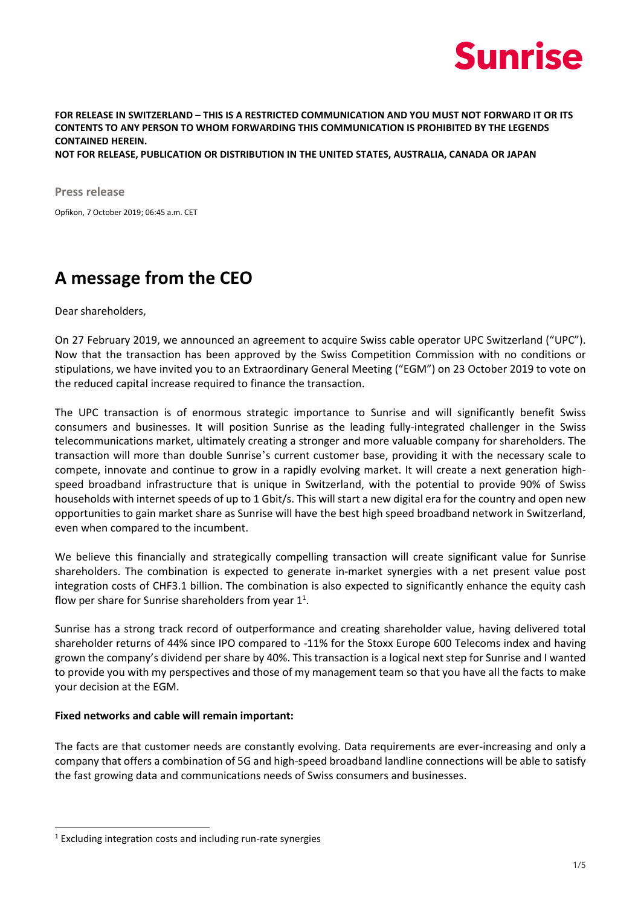

**FOR RELEASE IN SWITZERLAND – THIS IS A RESTRICTED COMMUNICATION AND YOU MUST NOT FORWARD IT OR ITS CONTENTS TO ANY PERSON TO WHOM FORWARDING THIS COMMUNICATION IS PROHIBITED BY THE LEGENDS CONTAINED HEREIN.** 

**NOT FOR RELEASE, PUBLICATION OR DISTRIBUTION IN THE UNITED STATES, AUSTRALIA, CANADA OR JAPAN**

**Press release** Opfikon, 7 October 2019; 06:45 a.m. CET

### **A message from the CEO**

Dear shareholders,

On 27 February 2019, we announced an agreement to acquire Swiss cable operator UPC Switzerland ("UPC"). Now that the transaction has been approved by the Swiss Competition Commission with no conditions or stipulations, we have invited you to an Extraordinary General Meeting ("EGM") on 23 October 2019 to vote on the reduced capital increase required to finance the transaction.

The UPC transaction is of enormous strategic importance to Sunrise and will significantly benefit Swiss consumers and businesses. It will position Sunrise as the leading fully-integrated challenger in the Swiss telecommunications market, ultimately creating a stronger and more valuable company for shareholders. The transaction will more than double Sunrise's current customer base, providing it with the necessary scale to compete, innovate and continue to grow in a rapidly evolving market. It will create a next generation highspeed broadband infrastructure that is unique in Switzerland, with the potential to provide 90% of Swiss households with internet speeds of up to 1 Gbit/s. This will start a new digital era for the country and open new opportunities to gain market share as Sunrise will have the best high speed broadband network in Switzerland, even when compared to the incumbent.

We believe this financially and strategically compelling transaction will create significant value for Sunrise shareholders. The combination is expected to generate in-market synergies with a net present value post integration costs of CHF3.1 billion. The combination is also expected to significantly enhance the equity cash flow per share for Sunrise shareholders from year  $1^1$ .

Sunrise has a strong track record of outperformance and creating shareholder value, having delivered total shareholder returns of 44% since IPO compared to -11% for the Stoxx Europe 600 Telecoms index and having grown the company's dividend per share by 40%. This transaction is a logical next step for Sunrise and I wanted to provide you with my perspectives and those of my management team so that you have all the facts to make your decision at the EGM.

#### **Fixed networks and cable will remain important:**

The facts are that customer needs are constantly evolving. Data requirements are ever-increasing and only a company that offers a combination of 5G and high-speed broadband landline connections will be able to satisfy the fast growing data and communications needs of Swiss consumers and businesses.

-

 $1$  Excluding integration costs and including run-rate synergies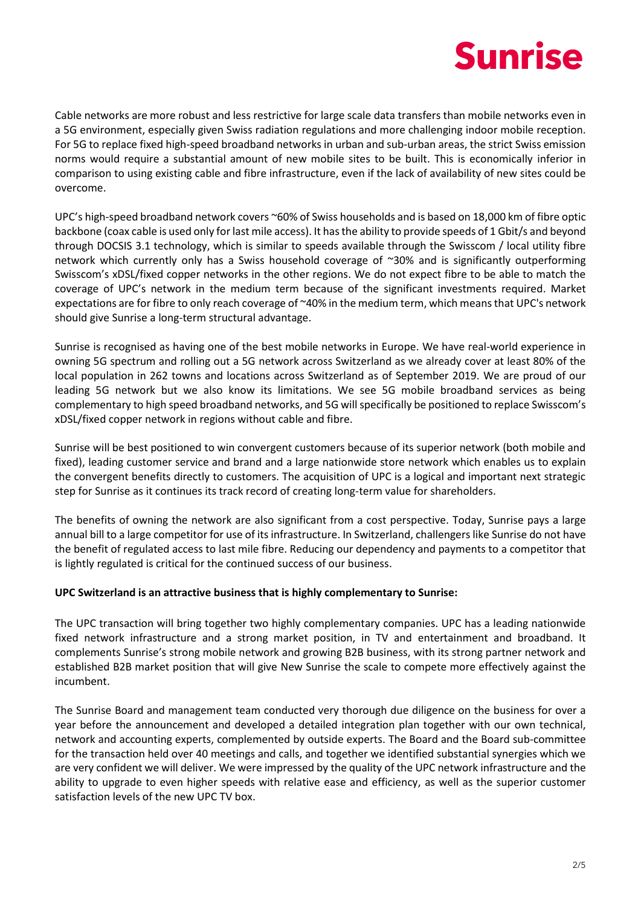# **Sunrise**

Cable networks are more robust and less restrictive for large scale data transfers than mobile networks even in a 5G environment, especially given Swiss radiation regulations and more challenging indoor mobile reception. For 5G to replace fixed high-speed broadband networks in urban and sub-urban areas, the strict Swiss emission norms would require a substantial amount of new mobile sites to be built. This is economically inferior in comparison to using existing cable and fibre infrastructure, even if the lack of availability of new sites could be overcome.

UPC's high-speed broadband network covers ~60% of Swiss households and is based on 18,000 km of fibre optic backbone (coax cable is used only for last mile access). It hasthe ability to provide speeds of 1 Gbit/s and beyond through DOCSIS 3.1 technology, which is similar to speeds available through the Swisscom / local utility fibre network which currently only has a Swiss household coverage of ~30% and is significantly outperforming Swisscom's xDSL/fixed copper networks in the other regions. We do not expect fibre to be able to match the coverage of UPC's network in the medium term because of the significant investments required. Market expectations are for fibre to only reach coverage of ~40% in the medium term, which means that UPC's network should give Sunrise a long-term structural advantage.

Sunrise is recognised as having one of the best mobile networks in Europe. We have real-world experience in owning 5G spectrum and rolling out a 5G network across Switzerland as we already cover at least 80% of the local population in 262 towns and locations across Switzerland as of September 2019. We are proud of our leading 5G network but we also know its limitations. We see 5G mobile broadband services as being complementary to high speed broadband networks, and 5G will specifically be positioned to replace Swisscom's xDSL/fixed copper network in regions without cable and fibre.

Sunrise will be best positioned to win convergent customers because of its superior network (both mobile and fixed), leading customer service and brand and a large nationwide store network which enables us to explain the convergent benefits directly to customers. The acquisition of UPC is a logical and important next strategic step for Sunrise as it continues its track record of creating long-term value for shareholders.

The benefits of owning the network are also significant from a cost perspective. Today, Sunrise pays a large annual bill to a large competitor for use of its infrastructure. In Switzerland, challengers like Sunrise do not have the benefit of regulated access to last mile fibre. Reducing our dependency and payments to a competitor that is lightly regulated is critical for the continued success of our business.

### **UPC Switzerland is an attractive business that is highly complementary to Sunrise:**

The UPC transaction will bring together two highly complementary companies. UPC has a leading nationwide fixed network infrastructure and a strong market position, in TV and entertainment and broadband. It complements Sunrise's strong mobile network and growing B2B business, with its strong partner network and established B2B market position that will give New Sunrise the scale to compete more effectively against the incumbent.

The Sunrise Board and management team conducted very thorough due diligence on the business for over a year before the announcement and developed a detailed integration plan together with our own technical, network and accounting experts, complemented by outside experts. The Board and the Board sub-committee for the transaction held over 40 meetings and calls, and together we identified substantial synergies which we are very confident we will deliver. We were impressed by the quality of the UPC network infrastructure and the ability to upgrade to even higher speeds with relative ease and efficiency, as well as the superior customer satisfaction levels of the new UPC TV box.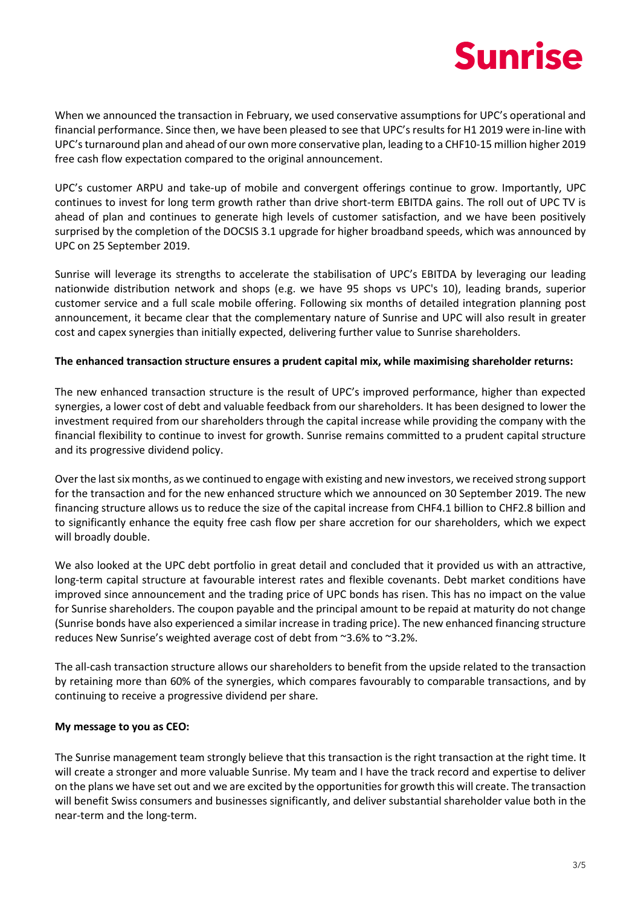

When we announced the transaction in February, we used conservative assumptions for UPC's operational and financial performance. Since then, we have been pleased to see that UPC's results for H1 2019 were in-line with UPC's turnaround plan and ahead of our own more conservative plan, leading to a CHF10-15 million higher 2019 free cash flow expectation compared to the original announcement.

UPC's customer ARPU and take-up of mobile and convergent offerings continue to grow. Importantly, UPC continues to invest for long term growth rather than drive short-term EBITDA gains. The roll out of UPC TV is ahead of plan and continues to generate high levels of customer satisfaction, and we have been positively surprised by the completion of the DOCSIS 3.1 upgrade for higher broadband speeds, which was announced by UPC on 25 September 2019.

Sunrise will leverage its strengths to accelerate the stabilisation of UPC's EBITDA by leveraging our leading nationwide distribution network and shops (e.g. we have 95 shops vs UPC's 10), leading brands, superior customer service and a full scale mobile offering. Following six months of detailed integration planning post announcement, it became clear that the complementary nature of Sunrise and UPC will also result in greater cost and capex synergies than initially expected, delivering further value to Sunrise shareholders.

#### **The enhanced transaction structure ensures a prudent capital mix, while maximising shareholder returns:**

The new enhanced transaction structure is the result of UPC's improved performance, higher than expected synergies, a lower cost of debt and valuable feedback from our shareholders. It has been designed to lower the investment required from our shareholders through the capital increase while providing the company with the financial flexibility to continue to invest for growth. Sunrise remains committed to a prudent capital structure and its progressive dividend policy.

Over the last six months, as we continued to engage with existing and new investors, we received strong support for the transaction and for the new enhanced structure which we announced on 30 September 2019. The new financing structure allows us to reduce the size of the capital increase from CHF4.1 billion to CHF2.8 billion and to significantly enhance the equity free cash flow per share accretion for our shareholders, which we expect will broadly double.

We also looked at the UPC debt portfolio in great detail and concluded that it provided us with an attractive, long-term capital structure at favourable interest rates and flexible covenants. Debt market conditions have improved since announcement and the trading price of UPC bonds has risen. This has no impact on the value for Sunrise shareholders. The coupon payable and the principal amount to be repaid at maturity do not change (Sunrise bonds have also experienced a similar increase in trading price). The new enhanced financing structure reduces New Sunrise's weighted average cost of debt from ~3.6% to ~3.2%.

The all-cash transaction structure allows our shareholders to benefit from the upside related to the transaction by retaining more than 60% of the synergies, which compares favourably to comparable transactions, and by continuing to receive a progressive dividend per share.

#### **My message to you as CEO:**

The Sunrise management team strongly believe that this transaction is the right transaction at the right time. It will create a stronger and more valuable Sunrise. My team and I have the track record and expertise to deliver on the plans we have set out and we are excited by the opportunities for growth this will create. The transaction will benefit Swiss consumers and businesses significantly, and deliver substantial shareholder value both in the near-term and the long-term.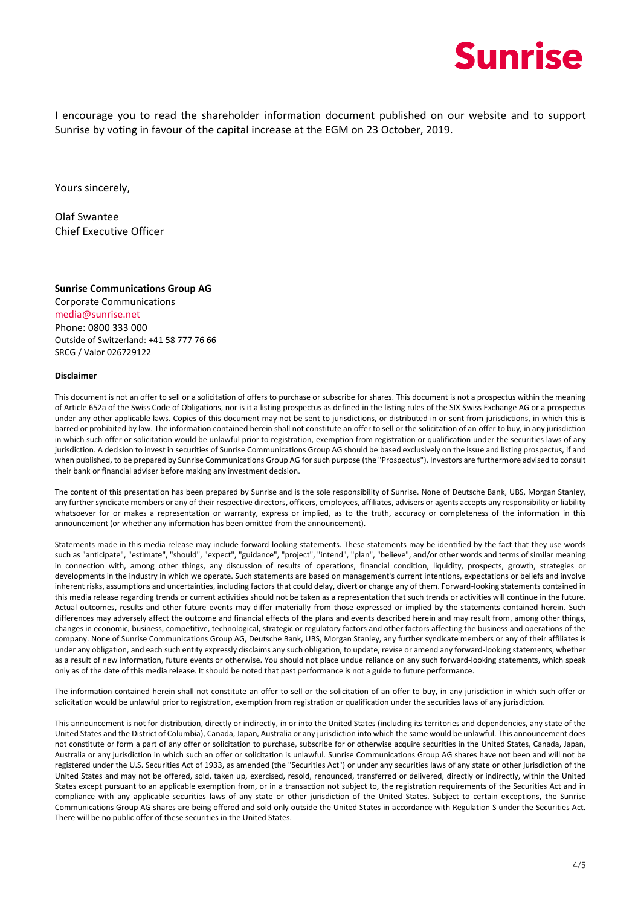

I encourage you to read the shareholder information document published on our website and to support Sunrise by voting in favour of the capital increase at the EGM on 23 October, 2019.

Yours sincerely,

Olaf Swantee Chief Executive Officer

**Sunrise Communications Group AG** Corporate Communications media@sunrise.net Phone: 0800 333 000

Outside of Switzerland: +41 58 777 76 66 SRCG / Valor 026729122

#### **Disclaimer**

This document is not an offer to sell or a solicitation of offers to purchase or subscribe for shares. This document is not a prospectus within the meaning of Article 652a of the Swiss Code of Obligations, nor is it a listing prospectus as defined in the listing rules of the SIX Swiss Exchange AG or a prospectus under any other applicable laws. Copies of this document may not be sent to jurisdictions, or distributed in or sent from jurisdictions, in which this is barred or prohibited by law. The information contained herein shall not constitute an offer to sell or the solicitation of an offer to buy, in any jurisdiction in which such offer or solicitation would be unlawful prior to registration, exemption from registration or qualification under the securities laws of any jurisdiction. A decision to invest in securities of Sunrise Communications Group AG should be based exclusively on the issue and listing prospectus, if and when published, to be prepared by Sunrise Communications Group AG for such purpose (the "Prospectus"). Investors are furthermore advised to consult their bank or financial adviser before making any investment decision.

The content of this presentation has been prepared by Sunrise and is the sole responsibility of Sunrise. None of Deutsche Bank, UBS, Morgan Stanley, any further syndicate members or any of their respective directors, officers, employees, affiliates, advisers or agents accepts any responsibility or liability whatsoever for or makes a representation or warranty, express or implied, as to the truth, accuracy or completeness of the information in this announcement (or whether any information has been omitted from the announcement).

Statements made in this media release may include forward-looking statements. These statements may be identified by the fact that they use words such as "anticipate", "estimate", "should", "expect", "guidance", "project", "intend", "plan", "believe", and/or other words and terms of similar meaning in connection with, among other things, any discussion of results of operations, financial condition, liquidity, prospects, growth, strategies or developments in the industry in which we operate. Such statements are based on management's current intentions, expectations or beliefs and involve inherent risks, assumptions and uncertainties, including factors that could delay, divert or change any of them. Forward-looking statements contained in this media release regarding trends or current activities should not be taken as a representation that such trends or activities will continue in the future. Actual outcomes, results and other future events may differ materially from those expressed or implied by the statements contained herein. Such differences may adversely affect the outcome and financial effects of the plans and events described herein and may result from, among other things, changes in economic, business, competitive, technological, strategic or regulatory factors and other factors affecting the business and operations of the company. None of Sunrise Communications Group AG, Deutsche Bank, UBS, Morgan Stanley, any further syndicate members or any of their affiliates is under any obligation, and each such entity expressly disclaims any such obligation, to update, revise or amend any forward-looking statements, whether as a result of new information, future events or otherwise. You should not place undue reliance on any such forward-looking statements, which speak only as of the date of this media release. It should be noted that past performance is not a guide to future performance.

The information contained herein shall not constitute an offer to sell or the solicitation of an offer to buy, in any jurisdiction in which such offer or solicitation would be unlawful prior to registration, exemption from registration or qualification under the securities laws of any jurisdiction.

This announcement is not for distribution, directly or indirectly, in or into the United States (including its territories and dependencies, any state of the United States and the District of Columbia), Canada, Japan, Australia or any jurisdiction into which the same would be unlawful. This announcement does not constitute or form a part of any offer or solicitation to purchase, subscribe for or otherwise acquire securities in the United States, Canada, Japan, Australia or any jurisdiction in which such an offer or solicitation is unlawful. Sunrise Communications Group AG shares have not been and will not be registered under the U.S. Securities Act of 1933, as amended (the "Securities Act") or under any securities laws of any state or other jurisdiction of the United States and may not be offered, sold, taken up, exercised, resold, renounced, transferred or delivered, directly or indirectly, within the United States except pursuant to an applicable exemption from, or in a transaction not subject to, the registration requirements of the Securities Act and in compliance with any applicable securities laws of any state or other jurisdiction of the United States. Subject to certain exceptions, the Sunrise Communications Group AG shares are being offered and sold only outside the United States in accordance with Regulation S under the Securities Act. There will be no public offer of these securities in the United States.